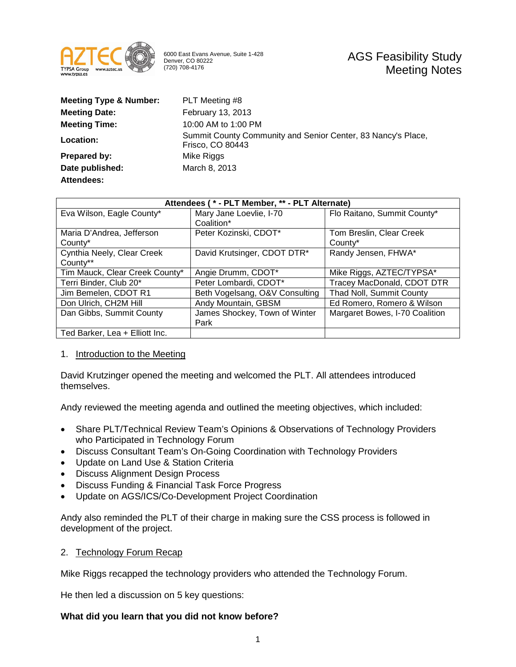

6000 East Evans Avenue, Suite 1-428 Denver, CO 80222 (720) 708-4176

| <b>Meeting Type &amp; Number:</b> | PLT Meeting #8                                                                   |
|-----------------------------------|----------------------------------------------------------------------------------|
| <b>Meeting Date:</b>              | <b>February 13, 2013</b>                                                         |
| <b>Meeting Time:</b>              | 10:00 AM to 1:00 PM                                                              |
| Location:                         | Summit County Community and Senior Center, 83 Nancy's Place,<br>Frisco, CO 80443 |
| Prepared by:                      | Mike Riggs                                                                       |
| Date published:                   | March 8, 2013                                                                    |
| Attendees:                        |                                                                                  |

| Attendees (* - PLT Member, ** - PLT Alternate) |                                |                                |
|------------------------------------------------|--------------------------------|--------------------------------|
| Eva Wilson, Eagle County*                      | Mary Jane Loevlie, I-70        | Flo Raitano, Summit County*    |
|                                                | Coalition*                     |                                |
| Maria D'Andrea, Jefferson                      | Peter Kozinski, CDOT*          | Tom Breslin, Clear Creek       |
| County*                                        |                                | County*                        |
| Cynthia Neely, Clear Creek                     | David Krutsinger, CDOT DTR*    | Randy Jensen, FHWA*            |
| County**                                       |                                |                                |
| Tim Mauck, Clear Creek County*                 | Angie Drumm, CDOT*             | Mike Riggs, AZTEC/TYPSA*       |
| Terri Binder, Club 20*                         | Peter Lombardi, CDOT*          | Tracey MacDonald, CDOT DTR     |
| Jim Bemelen, CDOT R1                           | Beth Vogelsang, O&V Consulting | Thad Noll, Summit County       |
| Don Ulrich, CH2M Hill                          | Andy Mountain, GBSM            | Ed Romero, Romero & Wilson     |
| Dan Gibbs, Summit County                       | James Shockey, Town of Winter  | Margaret Bowes, I-70 Coalition |
|                                                | Park                           |                                |
| Ted Barker, Lea + Elliott Inc.                 |                                |                                |

#### 1. Introduction to the Meeting

David Krutzinger opened the meeting and welcomed the PLT. All attendees introduced themselves.

Andy reviewed the meeting agenda and outlined the meeting objectives, which included:

- Share PLT/Technical Review Team's Opinions & Observations of Technology Providers who Participated in Technology Forum
- Discuss Consultant Team's On-Going Coordination with Technology Providers
- Update on Land Use & Station Criteria
- Discuss Alignment Design Process
- Discuss Funding & Financial Task Force Progress
- Update on AGS/ICS/Co-Development Project Coordination

Andy also reminded the PLT of their charge in making sure the CSS process is followed in development of the project.

#### 2. Technology Forum Recap

Mike Riggs recapped the technology providers who attended the Technology Forum.

He then led a discussion on 5 key questions:

## **What did you learn that you did not know before?**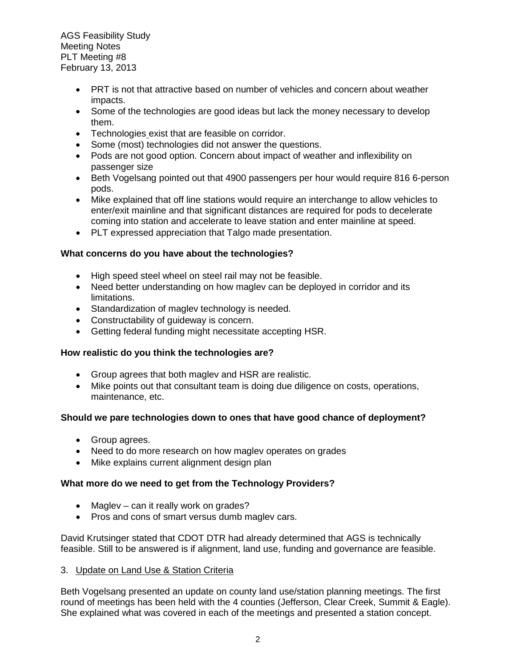- PRT is not that attractive based on number of vehicles and concern about weather impacts.
- Some of the technologies are good ideas but lack the money necessary to develop them.
- Technologies exist that are feasible on corridor.
- Some (most) technologies did not answer the questions.
- Pods are not good option. Concern about impact of weather and inflexibility on passenger size
- Beth Vogelsang pointed out that 4900 passengers per hour would require 816 6-person pods.
- Mike explained that off line stations would require an interchange to allow vehicles to enter/exit mainline and that significant distances are required for pods to decelerate coming into station and accelerate to leave station and enter mainline at speed.
- PLT expressed appreciation that Talgo made presentation.

## **What concerns do you have about the technologies?**

- High speed steel wheel on steel rail may not be feasible.
- Need better understanding on how maglev can be deployed in corridor and its limitations.
- Standardization of maglev technology is needed.
- Constructability of guideway is concern.
- Getting federal funding might necessitate accepting HSR.

# **How realistic do you think the technologies are?**

- Group agrees that both maglev and HSR are realistic.
- Mike points out that consultant team is doing due diligence on costs, operations, maintenance, etc.

## **Should we pare technologies down to ones that have good chance of deployment?**

- Group agrees.
- Need to do more research on how maglev operates on grades
- Mike explains current alignment design plan

## **What more do we need to get from the Technology Providers?**

- Maglev can it really work on grades?
- Pros and cons of smart versus dumb maglev cars.

David Krutsinger stated that CDOT DTR had already determined that AGS is technically feasible. Still to be answered is if alignment, land use, funding and governance are feasible.

## 3. Update on Land Use & Station Criteria

Beth Vogelsang presented an update on county land use/station planning meetings. The first round of meetings has been held with the 4 counties (Jefferson, Clear Creek, Summit & Eagle). She explained what was covered in each of the meetings and presented a station concept.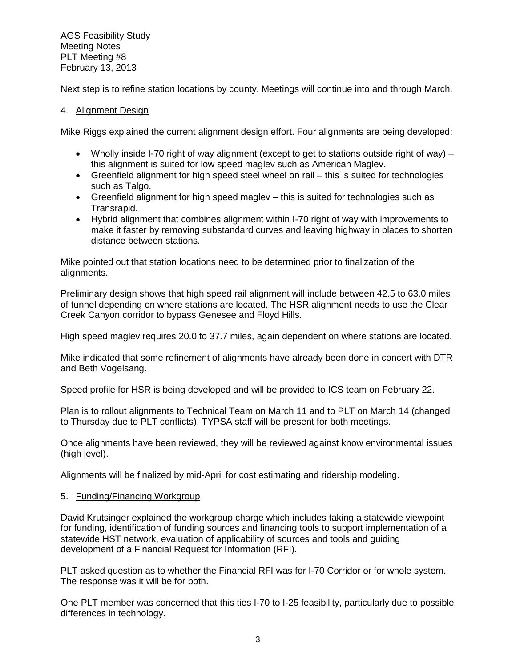Next step is to refine station locations by county. Meetings will continue into and through March.

## 4. Alignment Design

Mike Riggs explained the current alignment design effort. Four alignments are being developed:

- Wholly inside I-70 right of way alignment (except to get to stations outside right of way) this alignment is suited for low speed maglev such as American Maglev.
- Greenfield alignment for high speed steel wheel on rail this is suited for technologies such as Talgo.
- Greenfield alignment for high speed maglev this is suited for technologies such as Transrapid.
- Hybrid alignment that combines alignment within I-70 right of way with improvements to make it faster by removing substandard curves and leaving highway in places to shorten distance between stations.

Mike pointed out that station locations need to be determined prior to finalization of the alignments.

Preliminary design shows that high speed rail alignment will include between 42.5 to 63.0 miles of tunnel depending on where stations are located. The HSR alignment needs to use the Clear Creek Canyon corridor to bypass Genesee and Floyd Hills.

High speed maglev requires 20.0 to 37.7 miles, again dependent on where stations are located.

Mike indicated that some refinement of alignments have already been done in concert with DTR and Beth Vogelsang.

Speed profile for HSR is being developed and will be provided to ICS team on February 22.

Plan is to rollout alignments to Technical Team on March 11 and to PLT on March 14 (changed to Thursday due to PLT conflicts). TYPSA staff will be present for both meetings.

Once alignments have been reviewed, they will be reviewed against know environmental issues (high level).

Alignments will be finalized by mid-April for cost estimating and ridership modeling.

## 5. Funding/Financing Workgroup

David Krutsinger explained the workgroup charge which includes taking a statewide viewpoint for funding, identification of funding sources and financing tools to support implementation of a statewide HST network, evaluation of applicability of sources and tools and guiding development of a Financial Request for Information (RFI).

PLT asked question as to whether the Financial RFI was for I-70 Corridor or for whole system. The response was it will be for both.

One PLT member was concerned that this ties I-70 to I-25 feasibility, particularly due to possible differences in technology.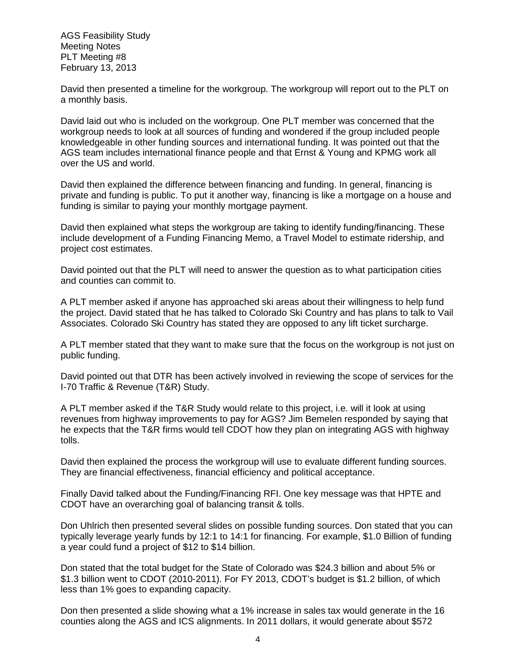David then presented a timeline for the workgroup. The workgroup will report out to the PLT on a monthly basis.

David laid out who is included on the workgroup. One PLT member was concerned that the workgroup needs to look at all sources of funding and wondered if the group included people knowledgeable in other funding sources and international funding. It was pointed out that the AGS team includes international finance people and that Ernst & Young and KPMG work all over the US and world.

David then explained the difference between financing and funding. In general, financing is private and funding is public. To put it another way, financing is like a mortgage on a house and funding is similar to paying your monthly mortgage payment.

David then explained what steps the workgroup are taking to identify funding/financing. These include development of a Funding Financing Memo, a Travel Model to estimate ridership, and project cost estimates.

David pointed out that the PLT will need to answer the question as to what participation cities and counties can commit to.

A PLT member asked if anyone has approached ski areas about their willingness to help fund the project. David stated that he has talked to Colorado Ski Country and has plans to talk to Vail Associates. Colorado Ski Country has stated they are opposed to any lift ticket surcharge.

A PLT member stated that they want to make sure that the focus on the workgroup is not just on public funding.

David pointed out that DTR has been actively involved in reviewing the scope of services for the I-70 Traffic & Revenue (T&R) Study.

A PLT member asked if the T&R Study would relate to this project, i.e. will it look at using revenues from highway improvements to pay for AGS? Jim Bemelen responded by saying that he expects that the T&R firms would tell CDOT how they plan on integrating AGS with highway tolls.

David then explained the process the workgroup will use to evaluate different funding sources. They are financial effectiveness, financial efficiency and political acceptance.

Finally David talked about the Funding/Financing RFI. One key message was that HPTE and CDOT have an overarching goal of balancing transit & tolls.

Don Uhlrich then presented several slides on possible funding sources. Don stated that you can typically leverage yearly funds by 12:1 to 14:1 for financing. For example, \$1.0 Billion of funding a year could fund a project of \$12 to \$14 billion.

Don stated that the total budget for the State of Colorado was \$24.3 billion and about 5% or \$1.3 billion went to CDOT (2010-2011). For FY 2013, CDOT's budget is \$1.2 billion, of which less than 1% goes to expanding capacity.

Don then presented a slide showing what a 1% increase in sales tax would generate in the 16 counties along the AGS and ICS alignments. In 2011 dollars, it would generate about \$572